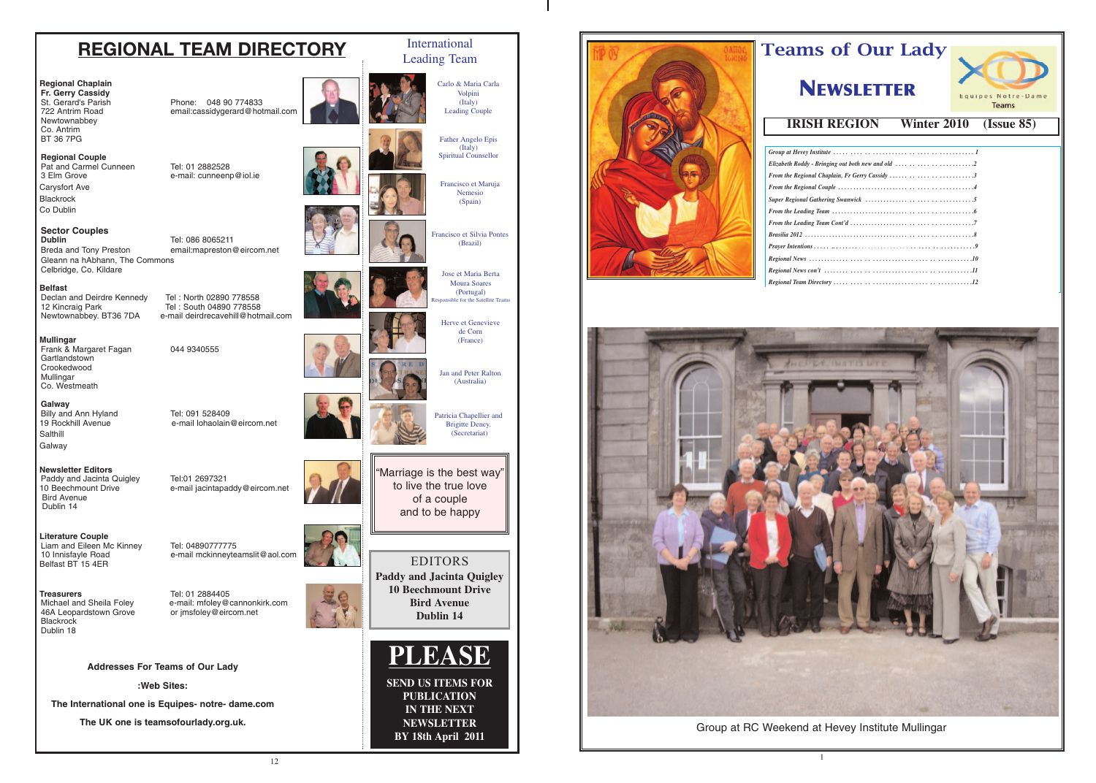

# Teams of Our Lady

# **NEWSLETTER**

Teams

## **IRISH REGION Winter 2010 (Issue 85)**

| Elizabeth Roddy - Bringing out both new and old $\ldots \ldots \ldots \ldots \ldots$ |
|--------------------------------------------------------------------------------------|
| From the Regional Chaplain, Fr Gerry Cassidy 3                                       |
|                                                                                      |
|                                                                                      |
|                                                                                      |
|                                                                                      |
|                                                                                      |
|                                                                                      |
|                                                                                      |
|                                                                                      |
|                                                                                      |

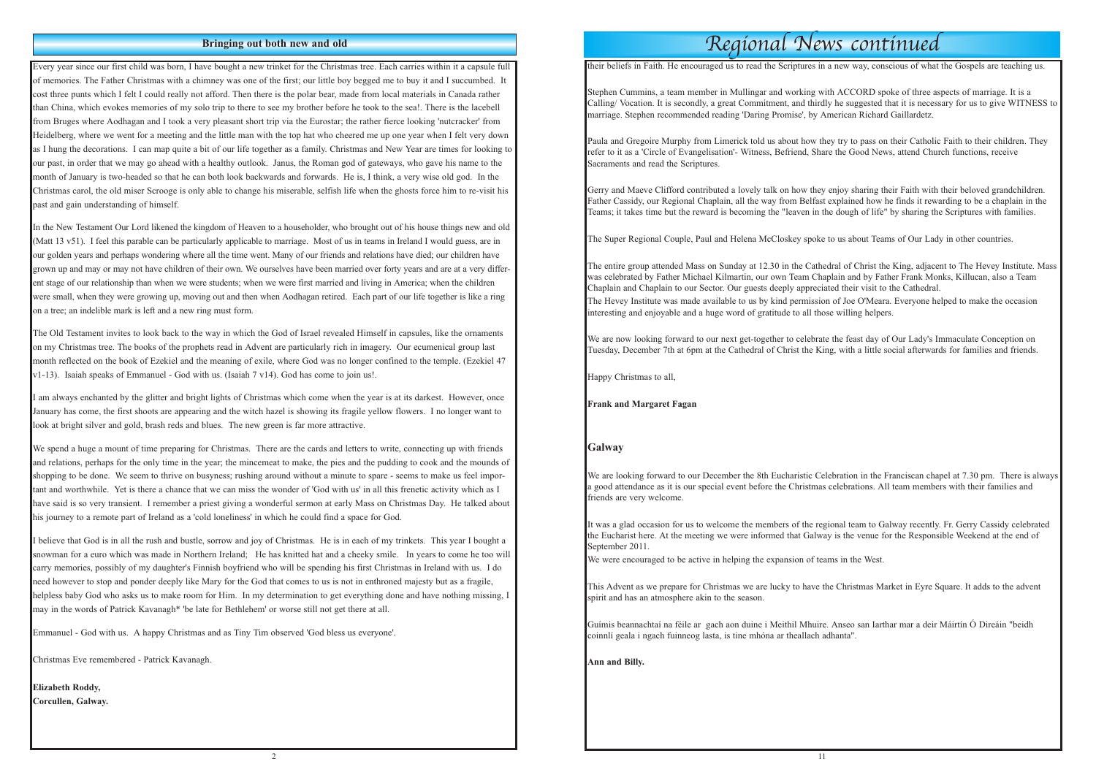#### **Bringing out both new and old**

Every year since our first child was born, I have bought a new trinket for the Christmas tree. Each carries within it a capsule full of memories. The Father Christmas with a chimney was one of the first; our little boy begged me to buy it and I succumbed. It cost three punts which I felt I could really not afford. Then there is the polar bear, made from local materials in Canada rather than China, which evokes memories of my solo trip to there to see my brother before he took to the sea!. There is the lacebell from Bruges where Aodhagan and I took a very pleasant short trip via the Eurostar; the rather fierce looking 'nutcracker' from Heidelberg, where we went for a meeting and the little man with the top hat who cheered me up one year when I felt very down as I hung the decorations. I can map quite a bit of our life together as a family. Christmas and New Year are times for looking to our past, in order that we may go ahead with a healthy outlook. Janus, the Roman god of gateways, who gave his name to the month of January is two-headed so that he can both look backwards and forwards. He is, I think, a very wise old god. In the Christmas carol, the old miser Scrooge is only able to change his miserable, selfish life when the ghosts force him to re-visit his past and gain understanding of himself.

The Old Testament invites to look back to the way in which the God of Israel revealed Himself in capsules, like the ornaments on my Christmas tree. The books of the prophets read in Advent are particularly rich in imagery. Our ecumenical group last month reflected on the book of Ezekiel and the meaning of exile, where God was no longer confined to the temple. (Ezekiel 47  $v1-13$ ). Isaiah speaks of Emmanuel - God with us. (Isaiah 7  $v14$ ). God has come to join us!.

In the New Testament Our Lord likened the kingdom of Heaven to a householder, who brought out of his house things new and old (Matt 13 v51). I feel this parable can be particularly applicable to marriage. Most of us in teams in Ireland I would guess, are in our golden years and perhaps wondering where all the time went. Many of our friends and relations have died; our children have grown up and may or may not have children of their own. We ourselves have been married over forty years and are at a very different stage of our relationship than when we were students; when we were first married and living in America; when the children were small, when they were growing up, moving out and then when Aodhagan retired. Each part of our life together is like a ring on a tree; an indelible mark is left and a new ring must form.

We spend a huge a mount of time preparing for Christmas. There are the cards and letters to write, connecting up with friends and relations, perhaps for the only time in the year; the mincemeat to make, the pies and the pudding to cook and the mounds of shopping to be done. We seem to thrive on busyness; rushing around without a minute to spare - seems to make us feel important and worthwhile. Yet is there a chance that we can miss the wonder of 'God with us' in all this frenetic activity which as I have said is so very transient. I remember a priest giving a wonderful sermon at early Mass on Christmas Day. He talked about his journey to a remote part of Ireland as a 'cold loneliness' in which he could find a space for God.

I am always enchanted by the glitter and bright lights of Christmas which come when the year is at its darkest. However, once January has come, the first shoots are appearing and the witch hazel is showing its fragile yellow flowers. I no longer want to look at bright silver and gold, brash reds and blues. The new green is far more attractive.

We are now looking forward to our next get-together to celebrate the feast day of Our Lady's Immaculate Conception on Tuesday, December 7th at 6pm at the Cathedral of Christ the King, with a little social afterwards for families and friends.

We are looking forward to our December the 8th Eucharistic Celebration in the Franciscan chapel at 7.30 pm. There is always a good attendance as it is our special event before the Christmas celebrations. All team members with their families and friends are very welcome.

This Advent as we prepare for Christmas we are lucky to have the Christmas Market in Eyre Square. It adds to the advent spirit and has an atmosphere akin to the season.

I believe that God is in all the rush and bustle, sorrow and joy of Christmas. He is in each of my trinkets. This year I bought a snowman for a euro which was made in Northern Ireland; He has knitted hat and a cheeky smile. In years to come he too will carry memories, possibly of my daughter's Finnish boyfriend who will be spending his first Christmas in Ireland with us. I do need however to stop and ponder deeply like Mary for the God that comes to us is not in enthroned majesty but as a fragile, helpless baby God who asks us to make room for Him. In my determination to get everything done and have nothing missing, I may in the words of Patrick Kavanagh\* 'be late for Bethlehem' or worse still not get there at all.

Emmanuel - God with us. A happy Christmas and as Tiny Tim observed 'God bless us everyone'.

Christmas Eve remembered - Patrick Kavanagh.

**Elizabeth Roddy, Corcullen, Galway.** their beliefs in Faith. He encouraged us to read the Scriptures in a new way, conscious of what the Gospels are teaching us.

Stephen Cummins, a team member in Mullingar and working with ACCORD spoke of three aspects of marriage. It is a Calling/ Vocation. It is secondly, a great Commitment, and thirdly he suggested that it is necessary for us to give WITNESS to marriage. Stephen recommended reading 'Daring Promise', by American Richard Gaillardetz.

Paula and Gregoire Murphy from Limerick told us about how they try to pass on their Catholic Faith to their children. They refer to it as a 'Circle of Evangelisation'- Witness, Befriend, Share the Good News, attend Church functions, receive Sacraments and read the Scriptures.

Gerry and Maeve Clifford contributed a lovely talk on how they enjoy sharing their Faith with their beloved grandchildren. Father Cassidy, our Regional Chaplain, all the way from Belfast explained how he finds it rewarding to be a chaplain in the Teams; it takes time but the reward is becoming the "leaven in the dough of life" by sharing the Scriptures with families.

The Super Regional Couple, Paul and Helena McCloskey spoke to us about Teams of Our Lady in other countries.

The entire group attended Mass on Sunday at 12.30 in the Cathedral of Christ the King, adjacent to The Hevey Institute. Mass was celebrated by Father Michael Kilmartin, our own Team Chaplain and by Father Frank Monks, Killucan, also a Team Chaplain and Chaplain to our Sector. Our guests deeply appreciated their visit to the Cathedral. The Hevey Institute was made available to us by kind permission of Joe O'Meara. Everyone helped to make the occasion interesting and enjoyable and a huge word of gratitude to all those willing helpers.

Happy Christmas to all,

**Frank and Margaret Fagan**

#### **Galway**

It was a glad occasion for us to welcome the members of the regional team to Galway recently. Fr. Gerry Cassidy celebrated the Eucharist here. At the meeting we were informed that Galway is the venue for the Responsible Weekend at the end of September 2011.

We were encouraged to be active in helping the expansion of teams in the West.

Guímis beannachtaí na féile ar gach aon duine i Meithil Mhuire. Anseo san Iarthar mar a deir Máirtín Ó Direáin "beidh coinnlí geala i ngach fuinneog lasta, is tine mhóna ar theallach adhanta".

**Ann and Billy.**

# Regional News continued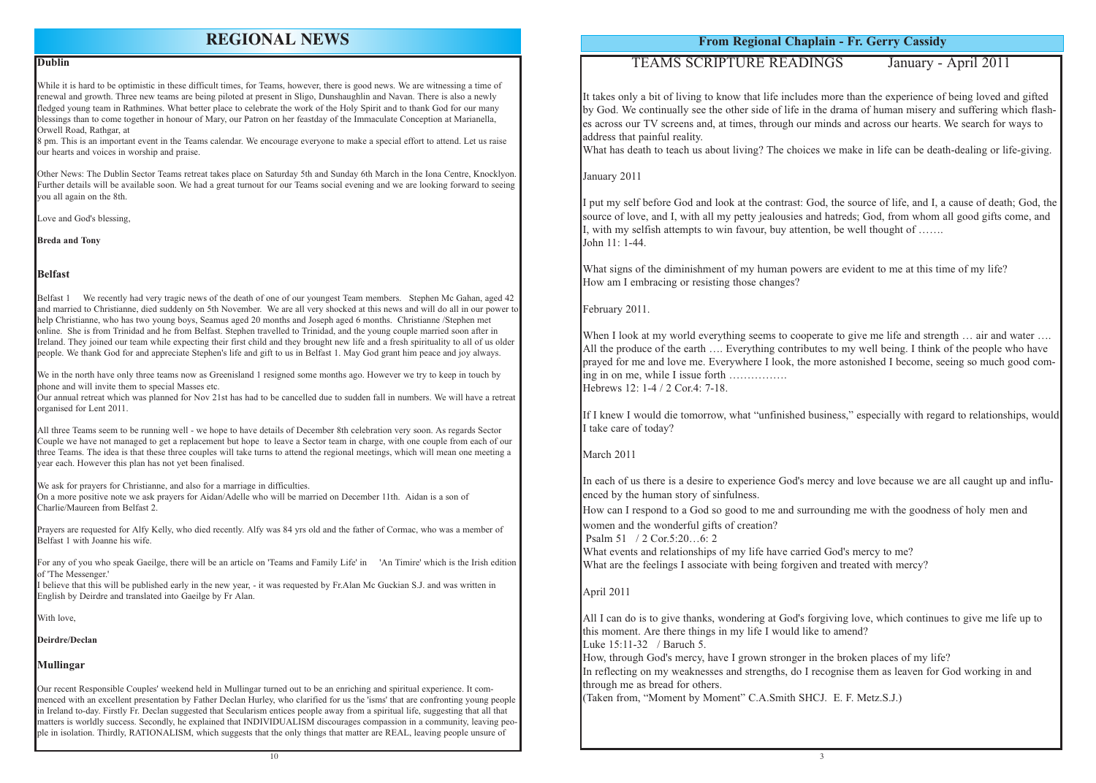**From Regional Chaplain - Fr. Gerry Cassidy**

## TEAMS SCRIPTURE READINGS January - April 2011

It takes only a bit of living to know that life includes more than the experience of being loved and gifted by God. We continually see the other side of life in the drama of human misery and suffering which flashes across our TV screens and, at times, through our minds and across our hearts. We search for ways to address that painful reality.

What has death to teach us about living? The choices we make in life can be death-dealing or life-giving.

What signs of the diminishment of my human powers are evident to me at this time of my life? How am I embracing or resisting those changes?

January 2011

When I look at my world everything seems to cooperate to give me life and strength ... air and water .... All the produce of the earth .... Everything contributes to my well being. I think of the people who have prayed for me and love me. Everywhere I look, the more astonished I become, seeing so much good coming in on me, while I issue forth ……………. Hebrews 12: 1-4 / 2 Cor.4: 7-18.

I put my self before God and look at the contrast: God, the source of life, and I, a cause of death; God, the source of love, and I, with all my petty jealousies and hatreds; God, from whom all good gifts come, and I, with my selfish attempts to win favour, buy attention, be well thought of ……. John 11: 1-44.

In each of us there is a desire to experience God's mercy and love because we are all caught up and influenced by the human story of sinfulness.

What events and relationships of my life have carried God's mercy to me? What are the feelings I associate with being forgiven and treated with mercy?

February 2011.

If I knew I would die tomorrow, what "unfinished business," especially with regard to relationships, would I take care of today?

While it is hard to be optimistic in these difficult times, for Teams, however, there is good news. We are witnessing a time of renewal and growth. Three new teams are being piloted at present in Sligo, Dunshaughlin and Navan. There is also a newly fledged young team in Rathmines. What better place to celebrate the work of the Holy Spirit and to thank God for our many blessings than to come together in honour of Mary, our Patron on her feastday of the Immaculate Conception at Marianella, Orwell Road, Rathgar, at

### March 2011

How can I respond to a God so good to me and surrounding me with the goodness of holy men and women and the wonderful gifts of creation?

Psalm 51 / 2 Cor.5:20…6: 2

#### April 2011

All I can do is to give thanks, wondering at God's forgiving love, which continues to give me life up to this moment. Are there things in my life I would like to amend? Luke 15:11-32 / Baruch 5.

We in the north have only three teams now as Greenisland 1 resigned some months ago. However we try to keep in touch by phone and will invite them to special Masses etc.

> How, through God's mercy, have I grown stronger in the broken places of my life? In reflecting on my weaknesses and strengths, do I recognise them as leaven for God working in and through me as bread for others.

(Taken from, "Moment by Moment" C.A.Smith SHCJ. E. F. Metz.S.J.)

#### **Dublin**

8 pm. This is an important event in the Teams calendar. We encourage everyone to make a special effort to attend. Let us raise our hearts and voices in worship and praise.

Other News: The Dublin Sector Teams retreat takes place on Saturday 5th and Sunday 6th March in the Iona Centre, Knocklyon. Further details will be available soon. We had a great turnout for our Teams social evening and we are looking forward to seeing you all again on the 8th.

Love and God's blessing,

**Breda and Tony**

#### **Belfast**

Belfast 1 We recently had very tragic news of the death of one of our youngest Team members. Stephen Mc Gahan, aged 42 and married to Christianne, died suddenly on 5th November. We are all very shocked at this news and will do all in our power to help Christianne, who has two young boys, Seamus aged 20 months and Joseph aged 6 months. Christianne /Stephen met online. She is from Trinidad and he from Belfast. Stephen travelled to Trinidad, and the young couple married soon after in Ireland. They joined our team while expecting their first child and they brought new life and a fresh spirituality to all of us older people. We thank God for and appreciate Stephen's life and gift to us in Belfast 1. May God grant him peace and joy always.

Our annual retreat which was planned for Nov 21st has had to be cancelled due to sudden fall in numbers. We will have a retreat organised for Lent 2011.

All three Teams seem to be running well - we hope to have details of December 8th celebration very soon. As regards Sector Couple we have not managed to get a replacement but hope to leave a Sector team in charge, with one couple from each of our three Teams. The idea is that these three couples will take turns to attend the regional meetings, which will mean one meeting a year each. However this plan has not yet been finalised.

We ask for prayers for Christianne, and also for a marriage in difficulties.

On a more positive note we ask prayers for Aidan/Adelle who will be married on December 11th. Aidan is a son of Charlie/Maureen from Belfast 2.

Prayers are requested for Alfy Kelly, who died recently. Alfy was 84 yrs old and the father of Cormac, who was a member of Belfast 1 with Joanne his wife.

For any of you who speak Gaeilge, there will be an article on 'Teams and Family Life' in 'An Timire' which is the Irish edition of 'The Messenger.'

I believe that this will be published early in the new year, - it was requested by Fr.Alan Mc Guckian S.J. and was written in English by Deirdre and translated into Gaeilge by Fr Alan.

With love.

**Deirdre/Declan**

#### **Mullingar**

Our recent Responsible Couples' weekend held in Mullingar turned out to be an enriching and spiritual experience. It commenced with an excellent presentation by Father Declan Hurley, who clarified for us the 'isms' that are confronting young people in Ireland to-day. Firstly Fr. Declan suggested that Secularism entices people away from a spiritual life, suggesting that all that matters is worldly success. Secondly, he explained that INDIVIDUALISM discourages compassion in a community, leaving people in isolation. Thirdly, RATIONALISM, which suggests that the only things that matter are REAL, leaving people unsure of

## **REGIONAL NEWS**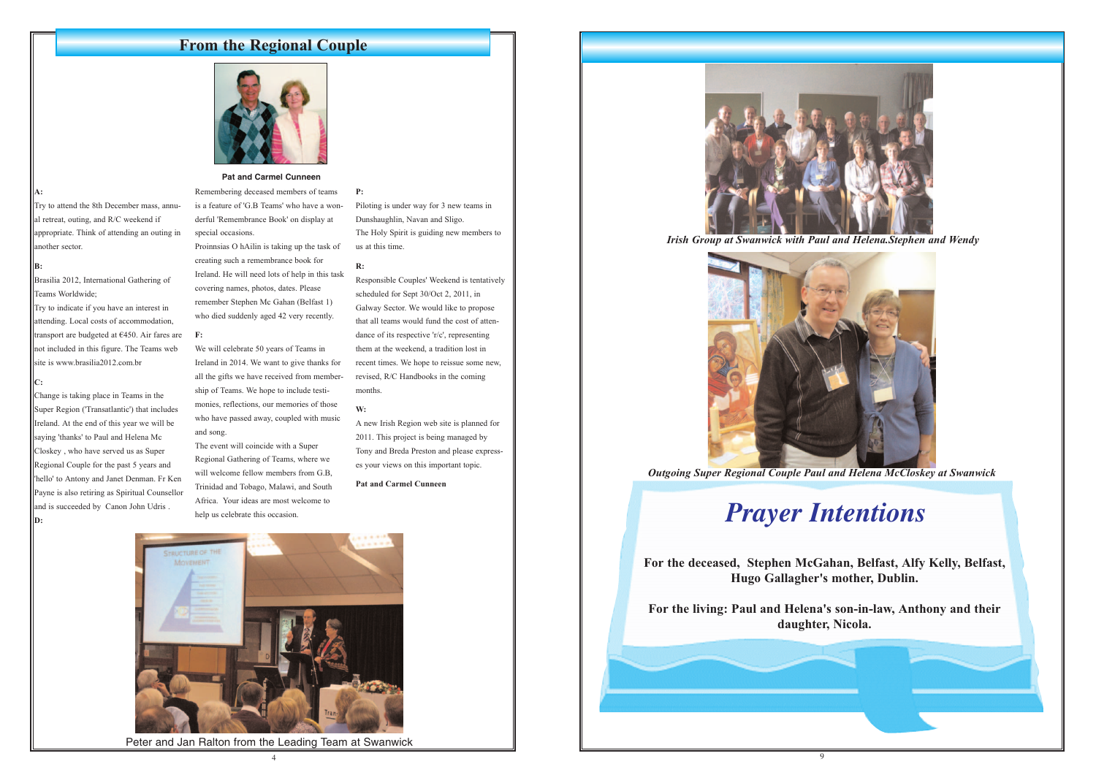4





## **From the Regional Couple**



# *Prayer Intentions*

**For the deceased, Stephen McGahan, Belfast, Alfy Kelly, Belfast, Hugo Gallagher's mother, Dublin.**

**For the living: Paul and Helena's son-in-law, Anthony and their daughter, Nicola.** 

*Outgoing Super Regional Couple Paul and Helena McCloskey at Swanwick* 

Brasilia 2012, International Gathering of Teams Worldwide;

*Irish Group at Swanwick with Paul and Helena.Stephen and Wendy*

#### **Pat and Carmel Cunneen**

#### **A:**

Try to attend the 8th December mass, annual retreat, outing, and R/C weekend if appropriate. Think of attending an outing in another sector.

#### **B:**

Try to indicate if you have an interest in attending. Local costs of accommodation, transport are budgeted at €450. Air fares are **F:**  not included in this figure. The Teams web site is www.brasilia2012.com.br

#### **C:**

Change is taking place in Teams in the Super Region ('Transatlantic') that includes Ireland. At the end of this year we will be saying 'thanks' to Paul and Helena Mc Closkey , who have served us as Super Regional Couple for the past 5 years and 'hello' to Antony and Janet Denman. Fr Ken Payne is also retiring as Spiritual Counsellor and is succeeded by Canon John Udris . **D:**

Remembering deceased members of teams is a feature of 'G.B Teams' who have a wonderful 'Remembrance Book' on display at special occasions.

Proinnsias O hAilin is taking up the task of creating such a remembrance book for Ireland. He will need lots of help in this task covering names, photos, dates. Please remember Stephen Mc Gahan (Belfast 1) who died suddenly aged 42 very recently.

We will celebrate 50 years of Teams in Ireland in 2014. We want to give thanks for all the gifts we have received from membership of Teams. We hope to include testimonies, reflections, our memories of those who have passed away, coupled with music and song.

The event will coincide with a Super Regional Gathering of Teams, where we will welcome fellow members from G.B, Trinidad and Tobago, Malawi, and South Africa. Your ideas are most welcome to help us celebrate this occasion.

**P:**

Piloting is under way for 3 new teams in Dunshaughlin, Navan and Sligo. The Holy Spirit is guiding new members to us at this time.

#### **R:**

Responsible Couples' Weekend is tentatively scheduled for Sept 30/Oct 2, 2011, in Galway Sector. We would like to propose that all teams would fund the cost of attendance of its respective 'r/c', representing them at the weekend, a tradition lost in recent times. We hope to reissue some new, revised, R/C Handbooks in the coming months.

#### **W:**

A new Irish Region web site is planned for 2011. This project is being managed by Tony and Breda Preston and please expresses your views on this important topic.

#### **Pat and Carmel Cunneen**



Peter and Jan Ralton from the Leading Team at Swanwick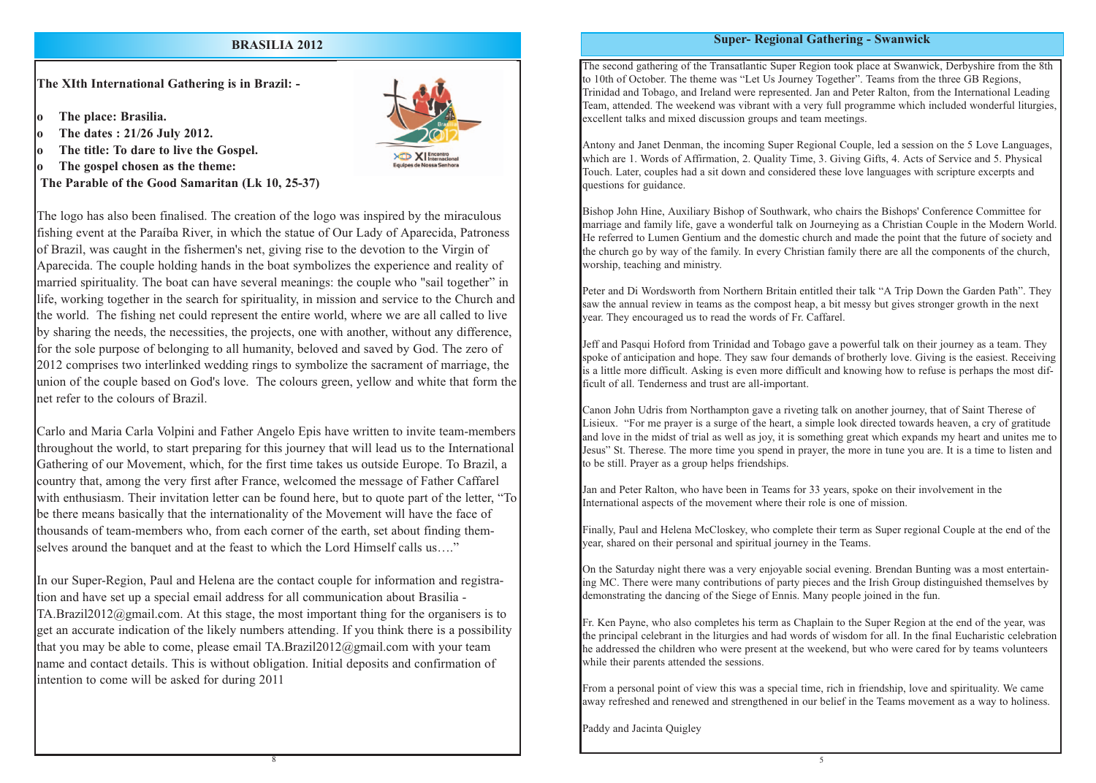### **Super- Regional Gathering - Swanwick**

The second gathering of the Transatlantic Super Region took place at Swanwick, Derbyshire from the 8th to 10th of October. The theme was "Let Us Journey Together". Teams from the three GB Regions, Trinidad and Tobago, and Ireland were represented. Jan and Peter Ralton, from the International Leading Team, attended. The weekend was vibrant with a very full programme which included wonderful liturgies, excellent talks and mixed discussion groups and team meetings.

Antony and Janet Denman, the incoming Super Regional Couple, led a session on the 5 Love Languages, which are 1. Words of Affirmation, 2. Quality Time, 3. Giving Gifts, 4. Acts of Service and 5. Physical Touch. Later, couples had a sit down and considered these love languages with scripture excerpts and questions for guidance.

Bishop John Hine, Auxiliary Bishop of Southwark, who chairs the Bishops' Conference Committee for marriage and family life, gave a wonderful talk on Journeying as a Christian Couple in the Modern World. He referred to Lumen Gentium and the domestic church and made the point that the future of society and the church go by way of the family. In every Christian family there are all the components of the church, worship, teaching and ministry.

Peter and Di Wordsworth from Northern Britain entitled their talk "A Trip Down the Garden Path". They saw the annual review in teams as the compost heap, a bit messy but gives stronger growth in the next year. They encouraged us to read the words of Fr. Caffarel.

Fr. Ken Payne, who also completes his term as Chaplain to the Super Region at the end of the year, was the principal celebrant in the liturgies and had words of wisdom for all. In the final Eucharistic celebration he addressed the children who were present at the weekend, but who were cared for by teams volunteers while their parents attended the sessions.

Jeff and Pasqui Hoford from Trinidad and Tobago gave a powerful talk on their journey as a team. They spoke of anticipation and hope. They saw four demands of brotherly love. Giving is the easiest. Receiving is a little more difficult. Asking is even more difficult and knowing how to refuse is perhaps the most difficult of all. Tenderness and trust are all-important.

Canon John Udris from Northampton gave a riveting talk on another journey, that of Saint Therese of Lisieux. "For me prayer is a surge of the heart, a simple look directed towards heaven, a cry of gratitude and love in the midst of trial as well as joy, it is something great which expands my heart and unites me to Jesus" St. Therese. The more time you spend in prayer, the more in tune you are. It is a time to listen and to be still. Prayer as a group helps friendships.

Carlo and Maria Carla Volpini and Father Angelo Epis have written to invite team-members throughout the world, to start preparing for this journey that will lead us to the International Gathering of our Movement, which, for the first time takes us outside Europe. To Brazil, a country that, among the very first after France, welcomed the message of Father Caffarel with enthusiasm. Their invitation letter can be found here, but to quote part of the letter, "To be there means basically that the internationality of the Movement will have the face of thousands of team-members who, from each corner of the earth, set about finding themselves around the banquet and at the feast to which the Lord Himself calls us...."

Jan and Peter Ralton, who have been in Teams for 33 years, spoke on their involvement in the International aspects of the movement where their role is one of mission.

Finally, Paul and Helena McCloskey, who complete their term as Super regional Couple at the end of the year, shared on their personal and spiritual journey in the Teams.

On the Saturday night there was a very enjoyable social evening. Brendan Bunting was a most entertaining MC. There were many contributions of party pieces and the Irish Group distinguished themselves by demonstrating the dancing of the Siege of Ennis. Many people joined in the fun.

From a personal point of view this was a special time, rich in friendship, love and spirituality. We came away refreshed and renewed and strengthened in our belief in the Teams movement as a way to holiness.

Paddy and Jacinta Quigley

**The XIth International Gathering is in Brazil: -**

- **o The place: Brasilia.**
- **o The dates : 21/26 July 2012.**
- **o The title: To dare to live the Gospel.**
- **o The gospel chosen as the theme:**

**The Parable of the Good Samaritan (Lk 10, 25-37)**



The logo has also been finalised. The creation of the logo was inspired by the miraculous fishing event at the Paraíba River, in which the statue of Our Lady of Aparecida, Patroness of Brazil, was caught in the fishermen's net, giving rise to the devotion to the Virgin of Aparecida. The couple holding hands in the boat symbolizes the experience and reality of married spirituality. The boat can have several meanings: the couple who "sail together" in life, working together in the search for spirituality, in mission and service to the Church and the world. The fishing net could represent the entire world, where we are all called to live by sharing the needs, the necessities, the projects, one with another, without any difference, for the sole purpose of belonging to all humanity, beloved and saved by God. The zero of 2012 comprises two interlinked wedding rings to symbolize the sacrament of marriage, the union of the couple based on God's love. The colours green, yellow and white that form the net refer to the colours of Brazil.

In our Super-Region, Paul and Helena are the contact couple for information and registration and have set up a special email address for all communication about Brasilia - TA.Brazil2012@gmail.com. At this stage, the most important thing for the organisers is to get an accurate indication of the likely numbers attending. If you think there is a possibility that you may be able to come, please email TA.Brazil2012@gmail.com with your team name and contact details. This is without obligation. Initial deposits and confirmation of intention to come will be asked for during 2011

## **BRASILIA 2012**